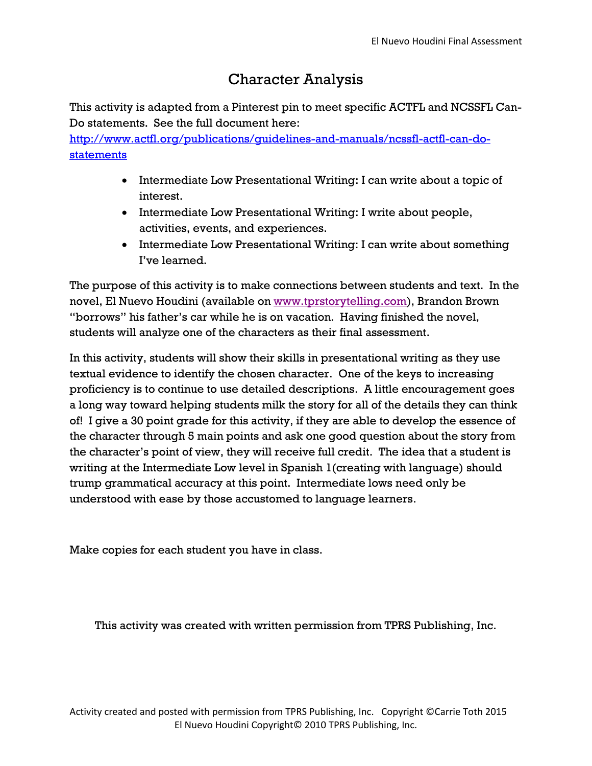## Character Analysis

This activity is adapted from a Pinterest pin to meet specific ACTFL and NCSSFL Can-Do statements. See the full document here:

[http://www.actfl.org/publications/guidelines-and-manuals/ncssfl-actfl-can-do](http://www.actfl.org/publications/guidelines-and-manuals/ncssfl-actfl-can-do-statements)[statements](http://www.actfl.org/publications/guidelines-and-manuals/ncssfl-actfl-can-do-statements)

- Intermediate Low Presentational Writing: I can write about a topic of interest.
- Intermediate Low Presentational Writing: I write about people, activities, events, and experiences.
- Intermediate Low Presentational Writing: I can write about something I've learned.

The purpose of this activity is to make connections between students and text. In the novel, El Nuevo Houdini (available on [www.tprstorytelling.com\)](http://www.tprstorytelling.com/), Brandon Brown "borrows" his father's car while he is on vacation. Having finished the novel, students will analyze one of the characters as their final assessment.

In this activity, students will show their skills in presentational writing as they use textual evidence to identify the chosen character. One of the keys to increasing proficiency is to continue to use detailed descriptions. A little encouragement goes a long way toward helping students milk the story for all of the details they can think of! I give a 30 point grade for this activity, if they are able to develop the essence of the character through 5 main points and ask one good question about the story from the character's point of view, they will receive full credit. The idea that a student is writing at the Intermediate Low level in Spanish 1(creating with language) should trump grammatical accuracy at this point. Intermediate lows need only be understood with ease by those accustomed to language learners.

Make copies for each student you have in class.

This activity was created with written permission from TPRS Publishing, Inc.